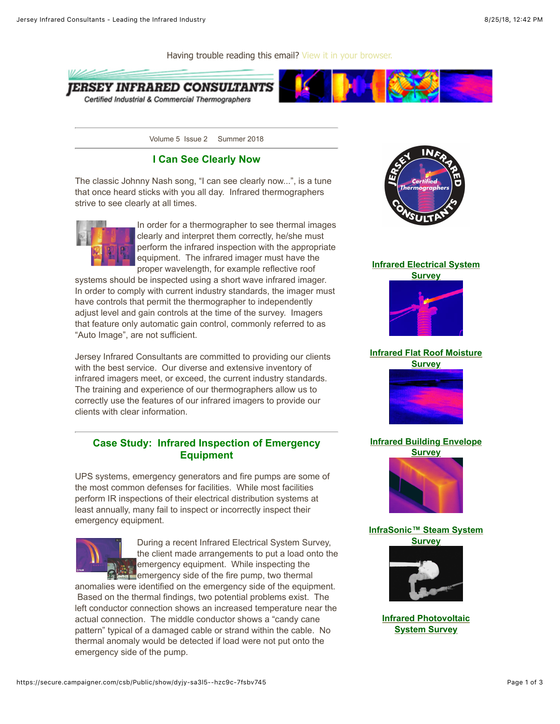Certified Industrial & Commercial Thermographers



Volume 5 Issue 2 Summer 2018

### **I Can See Clearly Now**

The classic Johnny Nash song, "I can see clearly now...", is a tune that once heard sticks with you all day. Infrared thermographers strive to see clearly at all times.



In order for a thermographer to see thermal images clearly and interpret them correctly, he/she must perform the infrared inspection with the appropriate equipment. The infrared imager must have the proper wavelength, for example reflective roof

systems should be inspected using a short wave infrared imager. In order to comply with current industry standards, the imager must have controls that permit the thermographer to independently adjust level and gain controls at the time of the survey. Imagers that feature only automatic gain control, commonly referred to as "Auto Image", are not sufficient.

Jersey Infrared Consultants are committed to providing our clients with the best service. Our diverse and extensive inventory of infrared imagers meet, or exceed, the current industry standards. The training and experience of our thermographers allow us to correctly use the features of our infrared imagers to provide our clients with clear information.

## **Case Study: Infrared Inspection of Emergency Equipment**

UPS systems, emergency generators and fire pumps are some of the most common defenses for facilities. While most facilities perform IR inspections of their electrical distribution systems at least annually, many fail to inspect or incorrectly inspect their emergency equipment.



During a recent Infrared Electrical System Survey, the client made arrangements to put a load onto the emergency equipment. While inspecting the emergency side of the fire pump, two thermal

anomalies were identified on the emergency side of the equipment. Based on the thermal findings, two potential problems exist. The left conductor connection shows an increased temperature near the actual connection. The middle conductor shows a "candy cane pattern" typical of a damaged cable or strand within the cable. No thermal anomaly would be detected if load were not put onto the emergency side of the pump.



### **[Infrared Electrical System](http://trk.cp20.com/click/dyjy-sa3l5-g0gcmw-7fsbv740/)**



# **[Infrared Flat Roof Moisture](http://trk.cp20.com/click/dyjy-sa3l5-g0gcmy-7fsbv742/)**

**Survey**



# **[Infrared Building Envelope](http://trk.cp20.com/click/dyjy-sa3l5-g0gcn0-7fsbv740/)**



### **[InfraSonic™ Steam System](http://trk.cp20.com/click/dyjy-sa3l5-g0gcn2-7fsbv742/) Survey**



**[Infrared Photovoltaic](http://trk.cp20.com/click/dyjy-sa3l5-g0gcn4-7fsbv744/) System Survey**